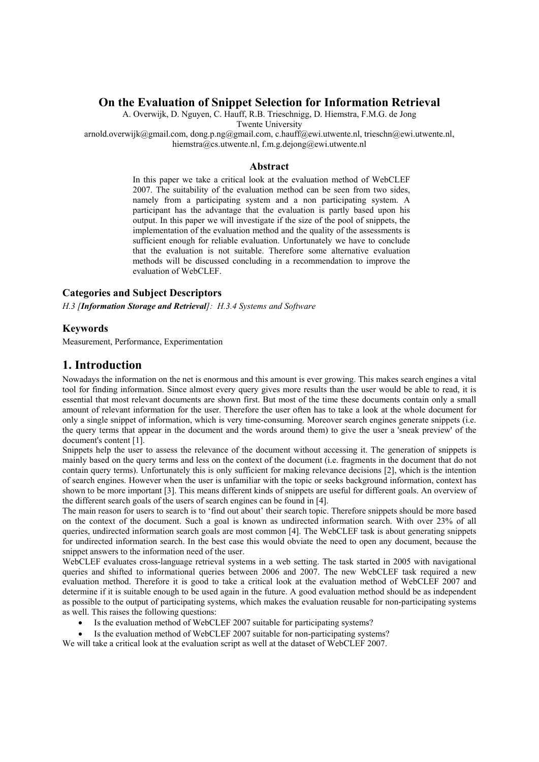## **On the Evaluation of Snippet Selection for Information Retrieval**

A. Overwijk, D. Nguyen, C. Hauff, R.B. Trieschnigg, D. Hiemstra, F.M.G. de Jong Twente University

arnold.overwijk@gmail.com, dong.p.ng@gmail.com, c.hauff@ewi.utwente.nl, trieschn@ewi.utwente.nl, hiemstra@cs.utwente.nl, f.m.g.dejong@ewi.utwente.nl

#### **Abstract**

In this paper we take a critical look at the evaluation method of WebCLEF 2007. The suitability of the evaluation method can be seen from two sides, namely from a participating system and a non participating system. A participant has the advantage that the evaluation is partly based upon his output. In this paper we will investigate if the size of the pool of snippets, the implementation of the evaluation method and the quality of the assessments is sufficient enough for reliable evaluation. Unfortunately we have to conclude that the evaluation is not suitable. Therefore some alternative evaluation methods will be discussed concluding in a recommendation to improve the evaluation of WebCLEF.

## **Categories and Subject Descriptors**

*H.3 [Information Storage and Retrieval]: H.3.4 Systems and Software*

#### **Keywords**

Measurement, Performance, Experimentation

## **1. Introduction**

Nowadays the information on the net is enormous and this amount is ever growing. This makes search engines a vital tool for finding information. Since almost every query gives more results than the user would be able to read, it is essential that most relevant documents are shown first. But most of the time these documents contain only a small amount of relevant information for the user. Therefore the user often has to take a look at the whole document for only a single snippet of information, which is very time-consuming. Moreover search engines generate snippets (i.e. the query terms that appear in the document and the words around them) to give the user a 'sneak preview' of the document's content [1].

Snippets help the user to assess the relevance of the document without accessing it. The generation of snippets is mainly based on the query terms and less on the context of the document (i.e. fragments in the document that do not contain query terms). Unfortunately this is only sufficient for making relevance decisions [2], which is the intention of search engines. However when the user is unfamiliar with the topic or seeks background information, context has shown to be more important [3]. This means different kinds of snippets are useful for different goals. An overview of the different search goals of the users of search engines can be found in [4].

The main reason for users to search is to 'find out about' their search topic. Therefore snippets should be more based on the context of the document. Such a goal is known as undirected information search. With over 23% of all queries, undirected information search goals are most common [4]. The WebCLEF task is about generating snippets for undirected information search. In the best case this would obviate the need to open any document, because the snippet answers to the information need of the user.

WebCLEF evaluates cross-language retrieval systems in a web setting. The task started in 2005 with navigational queries and shifted to informational queries between 2006 and 2007. The new WebCLEF task required a new evaluation method. Therefore it is good to take a critical look at the evaluation method of WebCLEF 2007 and determine if it is suitable enough to be used again in the future. A good evaluation method should be as independent as possible to the output of participating systems, which makes the evaluation reusable for non-participating systems as well. This raises the following questions:

- Is the evaluation method of WebCLEF 2007 suitable for participating systems?
- Is the evaluation method of WebCLEF 2007 suitable for non-participating systems?

We will take a critical look at the evaluation script as well at the dataset of WebCLEF 2007.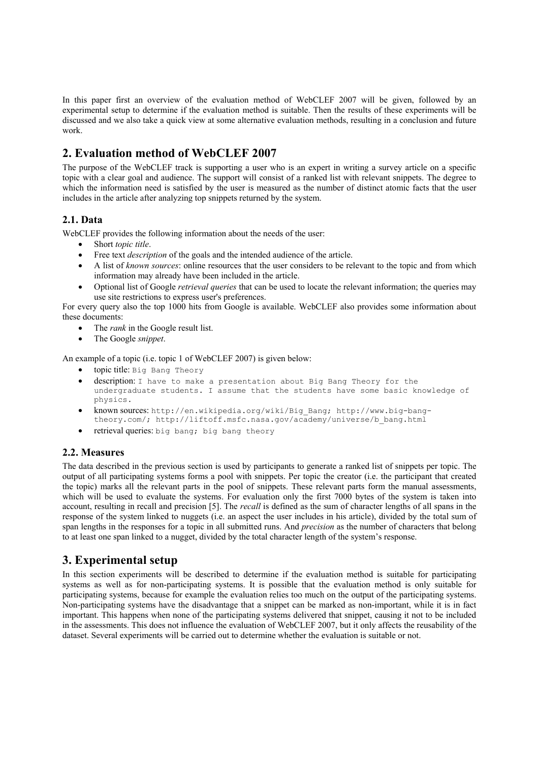In this paper first an overview of the evaluation method of WebCLEF 2007 will be given, followed by an experimental setup to determine if the evaluation method is suitable. Then the results of these experiments will be discussed and we also take a quick view at some alternative evaluation methods, resulting in a conclusion and future work.

# **2. Evaluation method of WebCLEF 2007**

The purpose of the WebCLEF track is supporting a user who is an expert in writing a survey article on a specific topic with a clear goal and audience. The support will consist of a ranked list with relevant snippets. The degree to which the information need is satisfied by the user is measured as the number of distinct atomic facts that the user includes in the article after analyzing top snippets returned by the system.

## **2.1. Data**

WebCLEF provides the following information about the needs of the user:

- Short *topic title*.
- Free text *description* of the goals and the intended audience of the article.
- A list of *known sources*: online resources that the user considers to be relevant to the topic and from which information may already have been included in the article.
- Optional list of Google *retrieval queries* that can be used to locate the relevant information; the queries may use site restrictions to express user's preferences.

For every query also the top 1000 hits from Google is available. WebCLEF also provides some information about these documents:

- The *rank* in the Google result list.
- The Google *snippet*.

An example of a topic (i.e. topic 1 of WebCLEF 2007) is given below:

- topic title: Big Bang Theory
- description: I have to make a presentation about Big Bang Theory for the undergraduate students. I assume that the students have some basic knowledge of physics.
- known sources: http://en.wikipedia.org/wiki/Big\_Bang; http://www.big-bangtheory.com/; http://liftoff.msfc.nasa.gov/academy/universe/b\_bang.html
- retrieval queries: big bang; big bang theory

## **2.2. Measures**

The data described in the previous section is used by participants to generate a ranked list of snippets per topic. The output of all participating systems forms a pool with snippets. Per topic the creator (i.e. the participant that created the topic) marks all the relevant parts in the pool of snippets. These relevant parts form the manual assessments, which will be used to evaluate the systems. For evaluation only the first 7000 bytes of the system is taken into account, resulting in recall and precision [5]. The *recall* is defined as the sum of character lengths of all spans in the response of the system linked to nuggets (i.e. an aspect the user includes in his article), divided by the total sum of span lengths in the responses for a topic in all submitted runs. And *precision* as the number of characters that belong to at least one span linked to a nugget, divided by the total character length of the system's response.

# **3. Experimental setup**

In this section experiments will be described to determine if the evaluation method is suitable for participating systems as well as for non-participating systems. It is possible that the evaluation method is only suitable for participating systems, because for example the evaluation relies too much on the output of the participating systems. Non-participating systems have the disadvantage that a snippet can be marked as non-important, while it is in fact important. This happens when none of the participating systems delivered that snippet, causing it not to be included in the assessments. This does not influence the evaluation of WebCLEF 2007, but it only affects the reusability of the dataset. Several experiments will be carried out to determine whether the evaluation is suitable or not.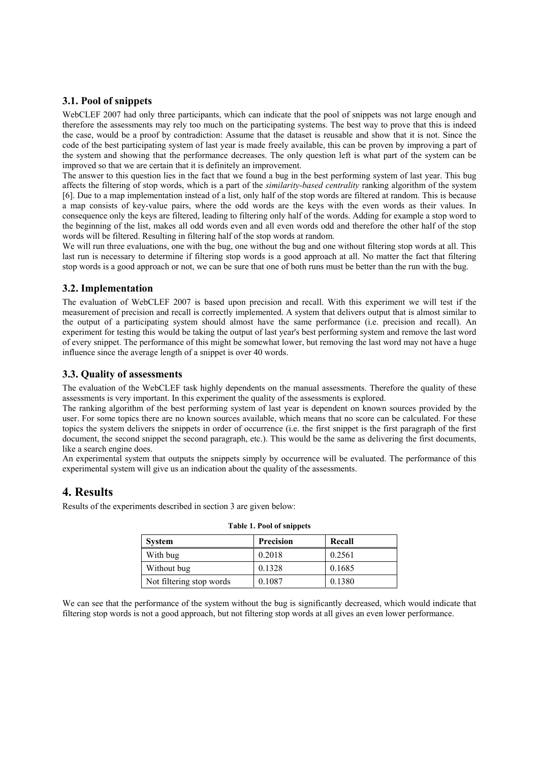### **3.1. Pool of snippets**

WebCLEF 2007 had only three participants, which can indicate that the pool of snippets was not large enough and therefore the assessments may rely too much on the participating systems. The best way to prove that this is indeed the case, would be a proof by contradiction: Assume that the dataset is reusable and show that it is not. Since the code of the best participating system of last year is made freely available, this can be proven by improving a part of the system and showing that the performance decreases. The only question left is what part of the system can be improved so that we are certain that it is definitely an improvement.

The answer to this question lies in the fact that we found a bug in the best performing system of last year. This bug affects the filtering of stop words, which is a part of the *similarity-based centrality* ranking algorithm of the system [6]. Due to a map implementation instead of a list, only half of the stop words are filtered at random. This is because a map consists of key-value pairs, where the odd words are the keys with the even words as their values. In consequence only the keys are filtered, leading to filtering only half of the words. Adding for example a stop word to the beginning of the list, makes all odd words even and all even words odd and therefore the other half of the stop words will be filtered. Resulting in filtering half of the stop words at random.

We will run three evaluations, one with the bug, one without the bug and one without filtering stop words at all. This last run is necessary to determine if filtering stop words is a good approach at all. No matter the fact that filtering stop words is a good approach or not, we can be sure that one of both runs must be better than the run with the bug.

#### **3.2. Implementation**

The evaluation of WebCLEF 2007 is based upon precision and recall. With this experiment we will test if the measurement of precision and recall is correctly implemented. A system that delivers output that is almost similar to the output of a participating system should almost have the same performance (i.e. precision and recall). An experiment for testing this would be taking the output of last year's best performing system and remove the last word of every snippet. The performance of this might be somewhat lower, but removing the last word may not have a huge influence since the average length of a snippet is over 40 words.

### **3.3. Quality of assessments**

The evaluation of the WebCLEF task highly dependents on the manual assessments. Therefore the quality of these assessments is very important. In this experiment the quality of the assessments is explored.

The ranking algorithm of the best performing system of last year is dependent on known sources provided by the user. For some topics there are no known sources available, which means that no score can be calculated. For these topics the system delivers the snippets in order of occurrence (i.e. the first snippet is the first paragraph of the first document, the second snippet the second paragraph, etc.). This would be the same as delivering the first documents, like a search engine does.

An experimental system that outputs the snippets simply by occurrence will be evaluated. The performance of this experimental system will give us an indication about the quality of the assessments.

## **4. Results**

Results of the experiments described in section 3 are given below:

| raoic is a coron simppets |                  |        |  |
|---------------------------|------------------|--------|--|
| <b>System</b>             | <b>Precision</b> | Recall |  |
| With bug                  | 0.2018           | 0.2561 |  |
| Without bug               | 0.1328           | 0.1685 |  |
| Not filtering stop words  | 0.1087           | 0.1380 |  |

|  |  | Table 1. Pool of snippets |  |
|--|--|---------------------------|--|
|  |  |                           |  |

We can see that the performance of the system without the bug is significantly decreased, which would indicate that filtering stop words is not a good approach, but not filtering stop words at all gives an even lower performance.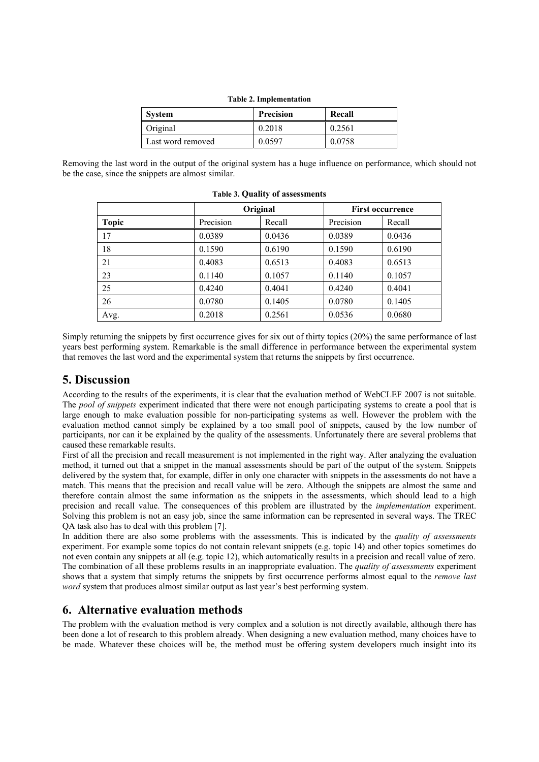| Table 2. Implementation |                  |        |  |
|-------------------------|------------------|--------|--|
| <b>System</b>           | <b>Precision</b> | Recall |  |
| Original                | 0.2018           | 0.2561 |  |
| Last word removed       | 0.0597           | 0.0758 |  |

**Table 2. Implementation** 

Removing the last word in the output of the original system has a huge influence on performance, which should not be the case, since the snippets are almost similar.

|              | Original  |        | <b>First occurrence</b> |        |
|--------------|-----------|--------|-------------------------|--------|
| <b>Topic</b> | Precision | Recall | Precision               | Recall |
| 17           | 0.0389    | 0.0436 | 0.0389                  | 0.0436 |
| 18           | 0.1590    | 0.6190 | 0.1590                  | 0.6190 |
| 21           | 0.4083    | 0.6513 | 0.4083                  | 0.6513 |
| 23           | 0.1140    | 0.1057 | 0.1140                  | 0.1057 |
| 25           | 0.4240    | 0.4041 | 0.4240                  | 0.4041 |
| 26           | 0.0780    | 0.1405 | 0.0780                  | 0.1405 |
| Avg.         | 0.2018    | 0.2561 | 0.0536                  | 0.0680 |

| <b>Table 3. Quality of assessments</b> |  |  |  |
|----------------------------------------|--|--|--|
|----------------------------------------|--|--|--|

Simply returning the snippets by first occurrence gives for six out of thirty topics (20%) the same performance of last years best performing system. Remarkable is the small difference in performance between the experimental system that removes the last word and the experimental system that returns the snippets by first occurrence.

### **5. Discussion**

According to the results of the experiments, it is clear that the evaluation method of WebCLEF 2007 is not suitable. The *pool of snippets* experiment indicated that there were not enough participating systems to create a pool that is large enough to make evaluation possible for non-participating systems as well. However the problem with the evaluation method cannot simply be explained by a too small pool of snippets, caused by the low number of participants, nor can it be explained by the quality of the assessments. Unfortunately there are several problems that caused these remarkable results.

First of all the precision and recall measurement is not implemented in the right way. After analyzing the evaluation method, it turned out that a snippet in the manual assessments should be part of the output of the system. Snippets delivered by the system that, for example, differ in only one character with snippets in the assessments do not have a match. This means that the precision and recall value will be zero. Although the snippets are almost the same and therefore contain almost the same information as the snippets in the assessments, which should lead to a high precision and recall value. The consequences of this problem are illustrated by the *implementation* experiment. Solving this problem is not an easy job, since the same information can be represented in several ways. The TREC QA task also has to deal with this problem [7].

In addition there are also some problems with the assessments. This is indicated by the *quality of assessments*  experiment. For example some topics do not contain relevant snippets (e.g. topic 14) and other topics sometimes do not even contain any snippets at all (e.g. topic 12), which automatically results in a precision and recall value of zero. The combination of all these problems results in an inappropriate evaluation. The *quality of assessments* experiment shows that a system that simply returns the snippets by first occurrence performs almost equal to the *remove last word* system that produces almost similar output as last year's best performing system.

## **6. Alternative evaluation methods**

The problem with the evaluation method is very complex and a solution is not directly available, although there has been done a lot of research to this problem already. When designing a new evaluation method, many choices have to be made. Whatever these choices will be, the method must be offering system developers much insight into its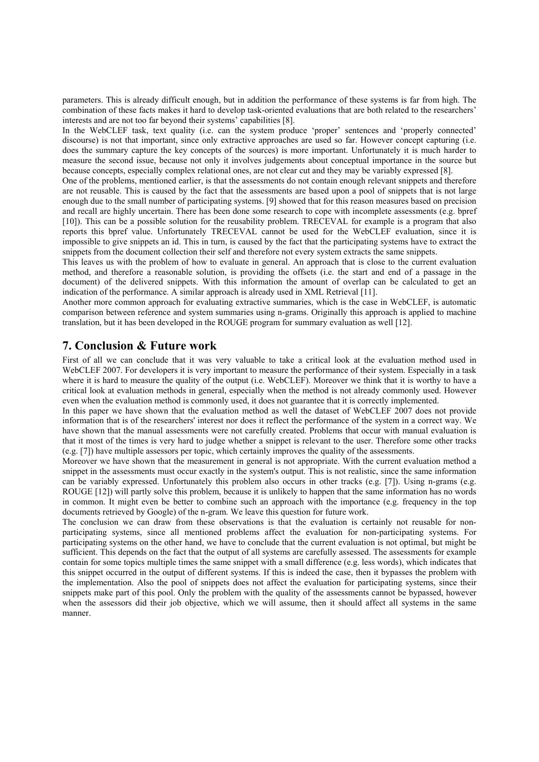parameters. This is already difficult enough, but in addition the performance of these systems is far from high. The combination of these facts makes it hard to develop task-oriented evaluations that are both related to the researchers' interests and are not too far beyond their systems' capabilities [8].

In the WebCLEF task, text quality (i.e. can the system produce 'proper' sentences and 'properly connected' discourse) is not that important, since only extractive approaches are used so far. However concept capturing (i.e. does the summary capture the key concepts of the sources) is more important. Unfortunately it is much harder to measure the second issue, because not only it involves judgements about conceptual importance in the source but because concepts, especially complex relational ones, are not clear cut and they may be variably expressed [8].

One of the problems, mentioned earlier, is that the assessments do not contain enough relevant snippets and therefore are not reusable. This is caused by the fact that the assessments are based upon a pool of snippets that is not large enough due to the small number of participating systems. [9] showed that for this reason measures based on precision and recall are highly uncertain. There has been done some research to cope with incomplete assessments (e.g. bpref [10]). This can be a possible solution for the reusability problem. TRECEVAL for example is a program that also reports this bpref value. Unfortunately TRECEVAL cannot be used for the WebCLEF evaluation, since it is impossible to give snippets an id. This in turn, is caused by the fact that the participating systems have to extract the snippets from the document collection their self and therefore not every system extracts the same snippets.

This leaves us with the problem of how to evaluate in general. An approach that is close to the current evaluation method, and therefore a reasonable solution, is providing the offsets (i.e. the start and end of a passage in the document) of the delivered snippets. With this information the amount of overlap can be calculated to get an indication of the performance. A similar approach is already used in XML Retrieval [11].

Another more common approach for evaluating extractive summaries, which is the case in WebCLEF, is automatic comparison between reference and system summaries using n-grams. Originally this approach is applied to machine translation, but it has been developed in the ROUGE program for summary evaluation as well [12].

## **7. Conclusion & Future work**

First of all we can conclude that it was very valuable to take a critical look at the evaluation method used in WebCLEF 2007. For developers it is very important to measure the performance of their system. Especially in a task where it is hard to measure the quality of the output (i.e. WebCLEF). Moreover we think that it is worthy to have a critical look at evaluation methods in general, especially when the method is not already commonly used. However even when the evaluation method is commonly used, it does not guarantee that it is correctly implemented.

In this paper we have shown that the evaluation method as well the dataset of WebCLEF 2007 does not provide information that is of the researchers' interest nor does it reflect the performance of the system in a correct way. We have shown that the manual assessments were not carefully created. Problems that occur with manual evaluation is that it most of the times is very hard to judge whether a snippet is relevant to the user. Therefore some other tracks (e.g. [7]) have multiple assessors per topic, which certainly improves the quality of the assessments.

Moreover we have shown that the measurement in general is not appropriate. With the current evaluation method a snippet in the assessments must occur exactly in the system's output. This is not realistic, since the same information can be variably expressed. Unfortunately this problem also occurs in other tracks (e.g. [7]). Using n-grams (e.g. ROUGE [12]) will partly solve this problem, because it is unlikely to happen that the same information has no words in common. It might even be better to combine such an approach with the importance (e.g. frequency in the top documents retrieved by Google) of the n-gram. We leave this question for future work.

The conclusion we can draw from these observations is that the evaluation is certainly not reusable for nonparticipating systems, since all mentioned problems affect the evaluation for non-participating systems. For participating systems on the other hand, we have to conclude that the current evaluation is not optimal, but might be sufficient. This depends on the fact that the output of all systems are carefully assessed. The assessments for example contain for some topics multiple times the same snippet with a small difference (e.g. less words), which indicates that this snippet occurred in the output of different systems. If this is indeed the case, then it bypasses the problem with the implementation. Also the pool of snippets does not affect the evaluation for participating systems, since their snippets make part of this pool. Only the problem with the quality of the assessments cannot be bypassed, however when the assessors did their job objective, which we will assume, then it should affect all systems in the same manner.